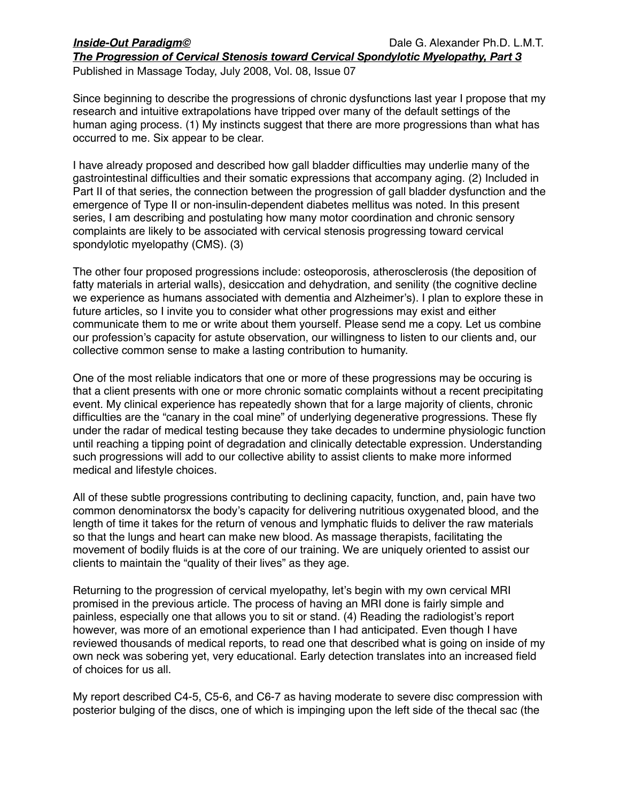Published in Massage Today, July 2008, Vol. 08, Issue 07

Since beginning to describe the progressions of chronic dysfunctions last year I propose that my research and intuitive extrapolations have tripped over many of the default settings of the human aging process. (1) My instincts suggest that there are more progressions than what has occurred to me. Six appear to be clear.

I have already proposed and described how gall bladder difficulties may underlie many of the gastrointestinal difficulties and their somatic expressions that accompany aging. (2) Included in Part II of that series, the connection between the progression of gall bladder dysfunction and the emergence of Type II or non-insulin-dependent diabetes mellitus was noted. In this present series, I am describing and postulating how many motor coordination and chronic sensory complaints are likely to be associated with cervical stenosis progressing toward cervical spondylotic myelopathy (CMS). (3)

The other four proposed progressions include: osteoporosis, atherosclerosis (the deposition of fatty materials in arterial walls), desiccation and dehydration, and senility (the cognitive decline we experience as humans associated with dementia and Alzheimer's). I plan to explore these in future articles, so I invite you to consider what other progressions may exist and either communicate them to me or write about them yourself. Please send me a copy. Let us combine our profession's capacity for astute observation, our willingness to listen to our clients and, our collective common sense to make a lasting contribution to humanity.

One of the most reliable indicators that one or more of these progressions may be occuring is that a client presents with one or more chronic somatic complaints without a recent precipitating event. My clinical experience has repeatedly shown that for a large majority of clients, chronic difficulties are the "canary in the coal mine" of underlying degenerative progressions. These fly under the radar of medical testing because they take decades to undermine physiologic function until reaching a tipping point of degradation and clinically detectable expression. Understanding such progressions will add to our collective ability to assist clients to make more informed medical and lifestyle choices.

All of these subtle progressions contributing to declining capacity, function, and, pain have two common denominatorsx the body's capacity for delivering nutritious oxygenated blood, and the length of time it takes for the return of venous and lymphatic fluids to deliver the raw materials so that the lungs and heart can make new blood. As massage therapists, facilitating the movement of bodily fluids is at the core of our training. We are uniquely oriented to assist our clients to maintain the "quality of their lives" as they age.

Returning to the progression of cervical myelopathy, let's begin with my own cervical MRI promised in the previous article. The process of having an MRI done is fairly simple and painless, especially one that allows you to sit or stand. (4) Reading the radiologist's report however, was more of an emotional experience than I had anticipated. Even though I have reviewed thousands of medical reports, to read one that described what is going on inside of my own neck was sobering yet, very educational. Early detection translates into an increased field of choices for us all.

My report described C4-5, C5-6, and C6-7 as having moderate to severe disc compression with posterior bulging of the discs, one of which is impinging upon the left side of the thecal sac (the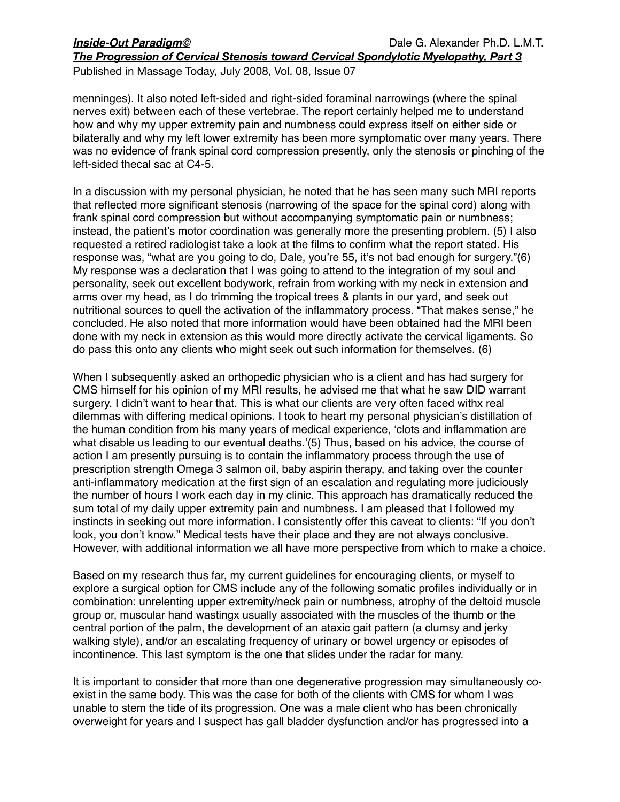Published in Massage Today, July 2008, Vol. 08, Issue 07

menninges). It also noted left-sided and right-sided foraminal narrowings (where the spinal nerves exit) between each of these vertebrae. The report certainly helped me to understand how and why my upper extremity pain and numbness could express itself on either side or bilaterally and why my left lower extremity has been more symptomatic over many years. There was no evidence of frank spinal cord compression presently, only the stenosis or pinching of the left-sided thecal sac at C4-5.

In a discussion with my personal physician, he noted that he has seen many such MRI reports that reflected more significant stenosis (narrowing of the space for the spinal cord) along with frank spinal cord compression but without accompanying symptomatic pain or numbness; instead, the patient's motor coordination was generally more the presenting problem. (5) I also requested a retired radiologist take a look at the films to confirm what the report stated. His response was, "what are you going to do, Dale, you're 55, it's not bad enough for surgery."(6) My response was a declaration that I was going to attend to the integration of my soul and personality, seek out excellent bodywork, refrain from working with my neck in extension and arms over my head, as I do trimming the tropical trees & plants in our yard, and seek out nutritional sources to quell the activation of the inflammatory process. "That makes sense," he concluded. He also noted that more information would have been obtained had the MRI been done with my neck in extension as this would more directly activate the cervical ligaments. So do pass this onto any clients who might seek out such information for themselves. (6)

When I subsequently asked an orthopedic physician who is a client and has had surgery for CMS himself for his opinion of my MRI results, he advised me that what he saw DID warrant surgery. I didn't want to hear that. This is what our clients are very often faced withx real dilemmas with differing medical opinions. I took to heart my personal physician's distillation of the human condition from his many years of medical experience, ʻclots and inflammation are what disable us leading to our eventual deaths.'(5) Thus, based on his advice, the course of action I am presently pursuing is to contain the inflammatory process through the use of prescription strength Omega 3 salmon oil, baby aspirin therapy, and taking over the counter anti-inflammatory medication at the first sign of an escalation and regulating more judiciously the number of hours I work each day in my clinic. This approach has dramatically reduced the sum total of my daily upper extremity pain and numbness. I am pleased that I followed my instincts in seeking out more information. I consistently offer this caveat to clients: "If you don't look, you don't know." Medical tests have their place and they are not always conclusive. However, with additional information we all have more perspective from which to make a choice.

Based on my research thus far, my current guidelines for encouraging clients, or myself to explore a surgical option for CMS include any of the following somatic profiles individually or in combination: unrelenting upper extremity/neck pain or numbness, atrophy of the deltoid muscle group or, muscular hand wastingx usually associated with the muscles of the thumb or the central portion of the palm, the development of an ataxic gait pattern (a clumsy and jerky walking style), and/or an escalating frequency of urinary or bowel urgency or episodes of incontinence. This last symptom is the one that slides under the radar for many.

It is important to consider that more than one degenerative progression may simultaneously coexist in the same body. This was the case for both of the clients with CMS for whom I was unable to stem the tide of its progression. One was a male client who has been chronically overweight for years and I suspect has gall bladder dysfunction and/or has progressed into a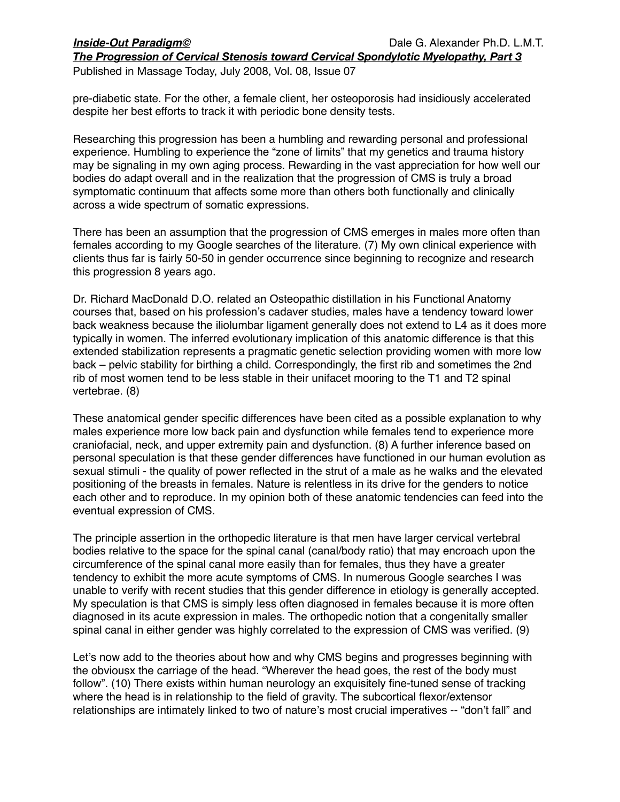Published in Massage Today, July 2008, Vol. 08, Issue 07

pre-diabetic state. For the other, a female client, her osteoporosis had insidiously accelerated despite her best efforts to track it with periodic bone density tests.

Researching this progression has been a humbling and rewarding personal and professional experience. Humbling to experience the "zone of limits" that my genetics and trauma history may be signaling in my own aging process. Rewarding in the vast appreciation for how well our bodies do adapt overall and in the realization that the progression of CMS is truly a broad symptomatic continuum that affects some more than others both functionally and clinically across a wide spectrum of somatic expressions.

There has been an assumption that the progression of CMS emerges in males more often than females according to my Google searches of the literature. (7) My own clinical experience with clients thus far is fairly 50-50 in gender occurrence since beginning to recognize and research this progression 8 years ago.

Dr. Richard MacDonald D.O. related an Osteopathic distillation in his Functional Anatomy courses that, based on his profession's cadaver studies, males have a tendency toward lower back weakness because the iliolumbar ligament generally does not extend to L4 as it does more typically in women. The inferred evolutionary implication of this anatomic difference is that this extended stabilization represents a pragmatic genetic selection providing women with more low back – pelvic stability for birthing a child. Correspondingly, the first rib and sometimes the 2nd rib of most women tend to be less stable in their unifacet mooring to the T1 and T2 spinal vertebrae. (8)

These anatomical gender specific differences have been cited as a possible explanation to why males experience more low back pain and dysfunction while females tend to experience more craniofacial, neck, and upper extremity pain and dysfunction. (8) A further inference based on personal speculation is that these gender differences have functioned in our human evolution as sexual stimuli - the quality of power reflected in the strut of a male as he walks and the elevated positioning of the breasts in females. Nature is relentless in its drive for the genders to notice each other and to reproduce. In my opinion both of these anatomic tendencies can feed into the eventual expression of CMS.

The principle assertion in the orthopedic literature is that men have larger cervical vertebral bodies relative to the space for the spinal canal (canal/body ratio) that may encroach upon the circumference of the spinal canal more easily than for females, thus they have a greater tendency to exhibit the more acute symptoms of CMS. In numerous Google searches I was unable to verify with recent studies that this gender difference in etiology is generally accepted. My speculation is that CMS is simply less often diagnosed in females because it is more often diagnosed in its acute expression in males. The orthopedic notion that a congenitally smaller spinal canal in either gender was highly correlated to the expression of CMS was verified. (9)

Let's now add to the theories about how and why CMS begins and progresses beginning with the obviousx the carriage of the head. "Wherever the head goes, the rest of the body must follow". (10) There exists within human neurology an exquisitely fine-tuned sense of tracking where the head is in relationship to the field of gravity. The subcortical flexor/extensor relationships are intimately linked to two of nature's most crucial imperatives -- "don't fall" and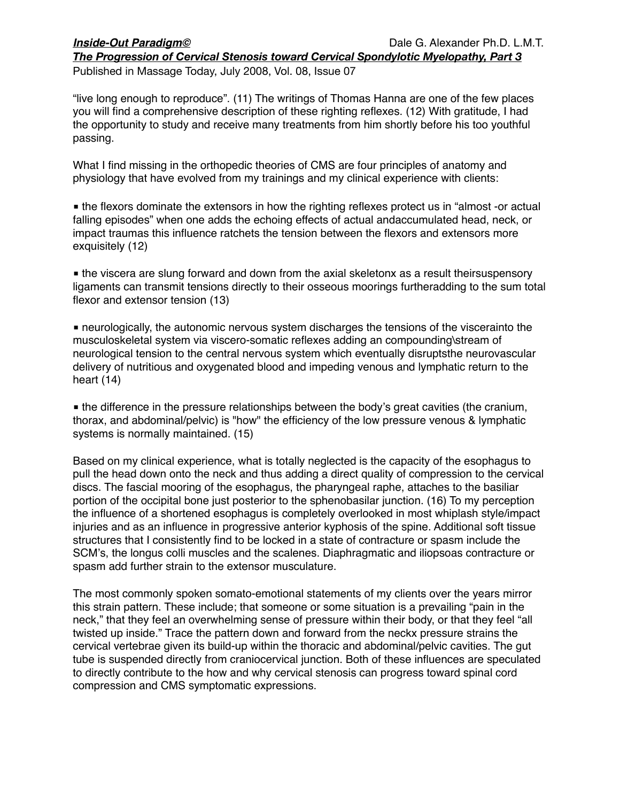*The Progression of Cervical Stenosis toward Cervical Spondylotic Myelopathy, Part 3* Published in Massage Today, July 2008, Vol. 08, Issue 07

"live long enough to reproduce". (11) The writings of Thomas Hanna are one of the few places you will find a comprehensive description of these righting reflexes. (12) With gratitude, I had the opportunity to study and receive many treatments from him shortly before his too youthful passing.

What I find missing in the orthopedic theories of CMS are four principles of anatomy and physiology that have evolved from my trainings and my clinical experience with clients:

■ the flexors dominate the extensors in how the righting reflexes protect us in "almost -or actual falling episodes" when one adds the echoing effects of actual andaccumulated head, neck, or impact traumas this influence ratchets the tension between the flexors and extensors more exquisitely (12)

■ the viscera are slung forward and down from the axial skeletonx as a result theirsuspensory ligaments can transmit tensions directly to their osseous moorings furtheradding to the sum total flexor and extensor tension (13)

■ neurologically, the autonomic nervous system discharges the tensions of the viscerainto the musculoskeletal system via viscero-somatic reflexes adding an compounding\stream of neurological tension to the central nervous system which eventually disruptsthe neurovascular delivery of nutritious and oxygenated blood and impeding venous and lymphatic return to the heart (14)

■ the difference in the pressure relationships between the body's great cavities (the cranium, thorax, and abdominal/pelvic) is "how" the efficiency of the low pressure venous & lymphatic systems is normally maintained. (15)

Based on my clinical experience, what is totally neglected is the capacity of the esophagus to pull the head down onto the neck and thus adding a direct quality of compression to the cervical discs. The fascial mooring of the esophagus, the pharyngeal raphe, attaches to the basiliar portion of the occipital bone just posterior to the sphenobasilar junction. (16) To my perception the influence of a shortened esophagus is completely overlooked in most whiplash style/impact injuries and as an influence in progressive anterior kyphosis of the spine. Additional soft tissue structures that I consistently find to be locked in a state of contracture or spasm include the SCM's, the longus colli muscles and the scalenes. Diaphragmatic and iliopsoas contracture or spasm add further strain to the extensor musculature.

The most commonly spoken somato-emotional statements of my clients over the years mirror this strain pattern. These include; that someone or some situation is a prevailing "pain in the neck," that they feel an overwhelming sense of pressure within their body, or that they feel "all twisted up inside." Trace the pattern down and forward from the neckx pressure strains the cervical vertebrae given its build-up within the thoracic and abdominal/pelvic cavities. The gut tube is suspended directly from craniocervical junction. Both of these influences are speculated to directly contribute to the how and why cervical stenosis can progress toward spinal cord compression and CMS symptomatic expressions.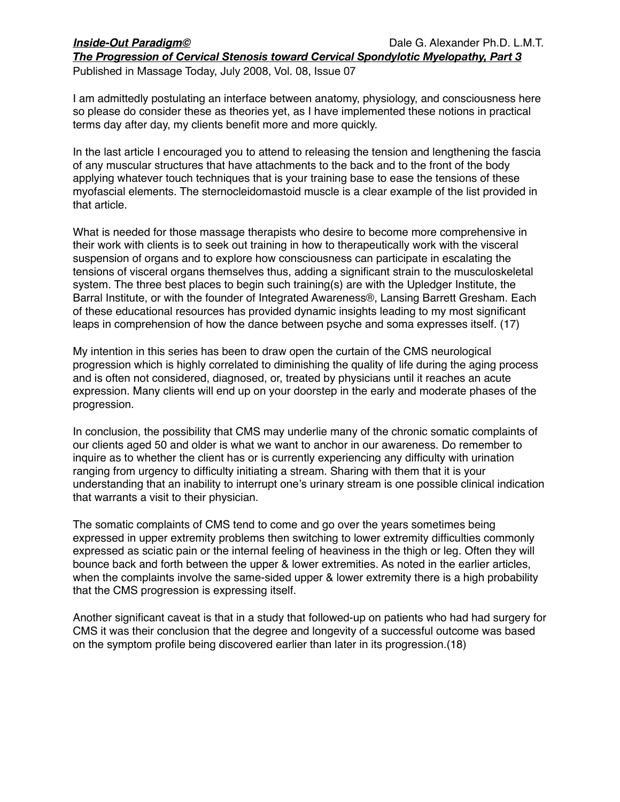Published in Massage Today, July 2008, Vol. 08, Issue 07

I am admittedly postulating an interface between anatomy, physiology, and consciousness here so please do consider these as theories yet, as I have implemented these notions in practical terms day after day, my clients benefit more and more quickly.

In the last article I encouraged you to attend to releasing the tension and lengthening the fascia of any muscular structures that have attachments to the back and to the front of the body applying whatever touch techniques that is your training base to ease the tensions of these myofascial elements. The sternocleidomastoid muscle is a clear example of the list provided in that article.

What is needed for those massage therapists who desire to become more comprehensive in their work with clients is to seek out training in how to therapeutically work with the visceral suspension of organs and to explore how consciousness can participate in escalating the tensions of visceral organs themselves thus, adding a significant strain to the musculoskeletal system. The three best places to begin such training(s) are with the Upledger Institute, the Barral Institute, or with the founder of Integrated Awareness®, Lansing Barrett Gresham. Each of these educational resources has provided dynamic insights leading to my most significant leaps in comprehension of how the dance between psyche and soma expresses itself. (17)

My intention in this series has been to draw open the curtain of the CMS neurological progression which is highly correlated to diminishing the quality of life during the aging process and is often not considered, diagnosed, or, treated by physicians until it reaches an acute expression. Many clients will end up on your doorstep in the early and moderate phases of the progression.

In conclusion, the possibility that CMS may underlie many of the chronic somatic complaints of our clients aged 50 and older is what we want to anchor in our awareness. Do remember to inquire as to whether the client has or is currently experiencing any difficulty with urination ranging from urgency to difficulty initiating a stream. Sharing with them that it is your understanding that an inability to interrupt one's urinary stream is one possible clinical indication that warrants a visit to their physician.

The somatic complaints of CMS tend to come and go over the years sometimes being expressed in upper extremity problems then switching to lower extremity difficulties commonly expressed as sciatic pain or the internal feeling of heaviness in the thigh or leg. Often they will bounce back and forth between the upper & lower extremities. As noted in the earlier articles, when the complaints involve the same-sided upper & lower extremity there is a high probability that the CMS progression is expressing itself.

Another significant caveat is that in a study that followed-up on patients who had had surgery for CMS it was their conclusion that the degree and longevity of a successful outcome was based on the symptom profile being discovered earlier than later in its progression.(18)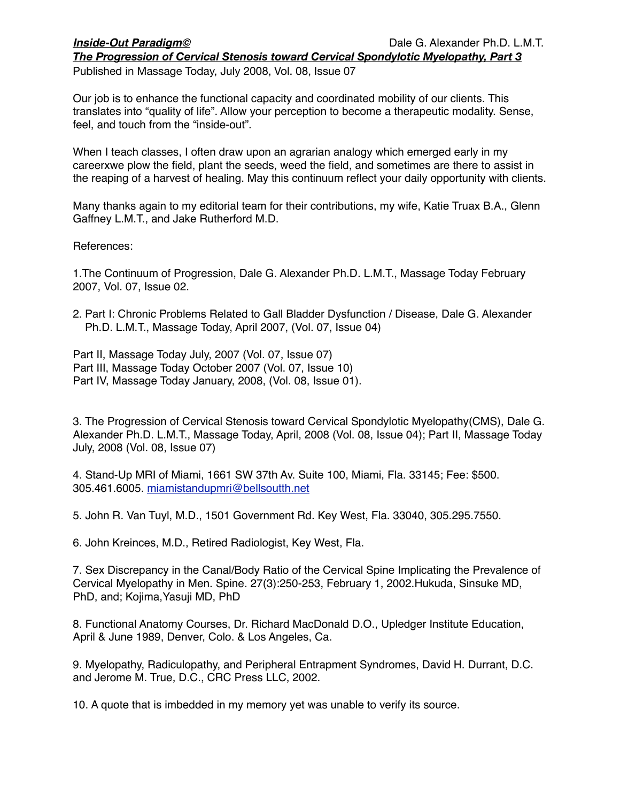*The Progression of Cervical Stenosis toward Cervical Spondylotic Myelopathy, Part 3* Published in Massage Today, July 2008, Vol. 08, Issue 07

Our job is to enhance the functional capacity and coordinated mobility of our clients. This translates into "quality of life". Allow your perception to become a therapeutic modality. Sense, feel, and touch from the "inside-out".

When I teach classes, I often draw upon an agrarian analogy which emerged early in my careerxwe plow the field, plant the seeds, weed the field, and sometimes are there to assist in the reaping of a harvest of healing. May this continuum reflect your daily opportunity with clients.

Many thanks again to my editorial team for their contributions, my wife, Katie Truax B.A., Glenn Gaffney L.M.T., and Jake Rutherford M.D.

References:

1.The Continuum of Progression, Dale G. Alexander Ph.D. L.M.T., Massage Today February 2007, Vol. 07, Issue 02.

2. Part I: Chronic Problems Related to Gall Bladder Dysfunction / Disease, Dale G. Alexander Ph.D. L.M.T., Massage Today, April 2007, (Vol. 07, Issue 04)

Part II, Massage Today July, 2007 (Vol. 07, Issue 07) Part III, Massage Today October 2007 (Vol. 07, Issue 10) Part IV, Massage Today January, 2008, (Vol. 08, Issue 01).

3. The Progression of Cervical Stenosis toward Cervical Spondylotic Myelopathy(CMS), Dale G. Alexander Ph.D. L.M.T., Massage Today, April, 2008 (Vol. 08, Issue 04); Part II, Massage Today July, 2008 (Vol. 08, Issue 07)

4. Stand-Up MRI of Miami, 1661 SW 37th Av. Suite 100, Miami, Fla. 33145; Fee: \$500. 305.461.6005. [miamistandupmri@bellsoutth.net](mailto:miamistandupmri@bellsoutth.net)

5. John R. Van Tuyl, M.D., 1501 Government Rd. Key West, Fla. 33040, 305.295.7550.

6. John Kreinces, M.D., Retired Radiologist, Key West, Fla.

7. Sex Discrepancy in the Canal/Body Ratio of the Cervical Spine Implicating the Prevalence of Cervical Myelopathy in Men. Spine. 27(3):250-253, February 1, 2002.Hukuda, Sinsuke MD, PhD, and; Kojima,Yasuji MD, PhD

8. Functional Anatomy Courses, Dr. Richard MacDonald D.O., Upledger Institute Education, April & June 1989, Denver, Colo. & Los Angeles, Ca.

9. Myelopathy, Radiculopathy, and Peripheral Entrapment Syndromes, David H. Durrant, D.C. and Jerome M. True, D.C., CRC Press LLC, 2002.

10. A quote that is imbedded in my memory yet was unable to verify its source.